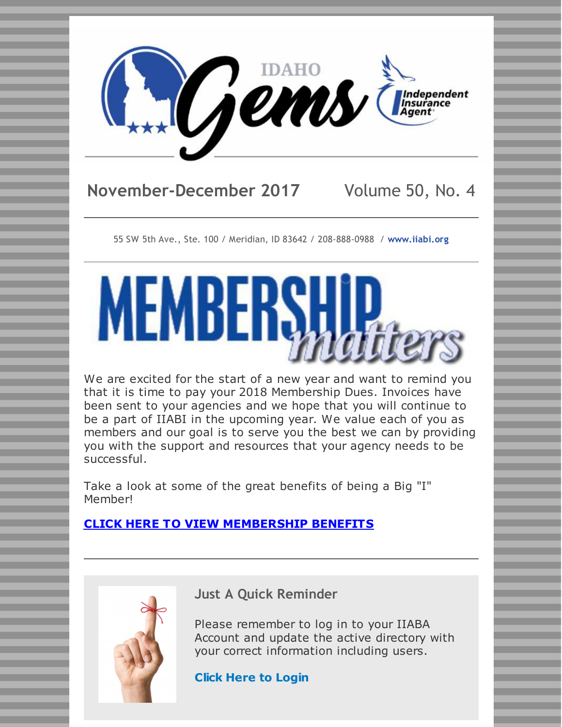

# **November-December 2017** Volume 50, No. 4

55 SW 5th Ave., Ste. 100 / Meridian, ID 83642 / 208-888-0988 / **[www.iiabi.org](http://www.iiabi.org)**



We are excited for the start of a new year and want to remind you that it is time to pay your 2018 Membership Dues. Invoices have been sent to your agencies and we hope that you will continue to be a part of IIABI in the upcoming year. We value each of you as members and our goal is to serve you the best we can by providing you with the support and resources that your agency needs to be successful.

Take a look at some of the great benefits of being a Big "I" Member!

#### **CLICK HERE TO VIEW [MEMBERSHIP](http://files.constantcontact.com/e55b1ff0201/5535c99b-3c40-48a6-a08f-fcac6d878617.pdf) BENEFITS**



**Just A Quick Reminder**

Please remember to log in to your IIABA Account and update the active directory with your correct information including users.

**Click Here to [Login](https://sso.iiaba.net/login.aspx?sid=MXwxMi8yMC8yMDE3IDY6MTQ6NTMgUE18d3d3LmluZGVwZW5kZW50YWdlbnQuY29tfHwyM2F0MXZud3UwcGdtM3Rmanp2MzAzbGV8MTkyLjE2OC4xMTUuODV8aHR0cHM6Ly93d3cuaW5kZXBlbmRlbnRhZ2VudC5jb20vX3Nzby9zc29fbG9naW4uYXNweD9SZXR1cm5Vcmw9L19sYXlvdXRzLzE1L0F1dGhlbnRpY2F0ZS5hc3B4P1NvdXJjZT0lMkZkZWZhdWx0JTJFYXNweCZTb3VyY2U9L2RlZmF1bHQuYXNweHxGYWxzZXwwfHx8fHx8-8xtNz1f8UX4%3d&a=NA&r=https://www.independentagent.com&m=0&l=0)**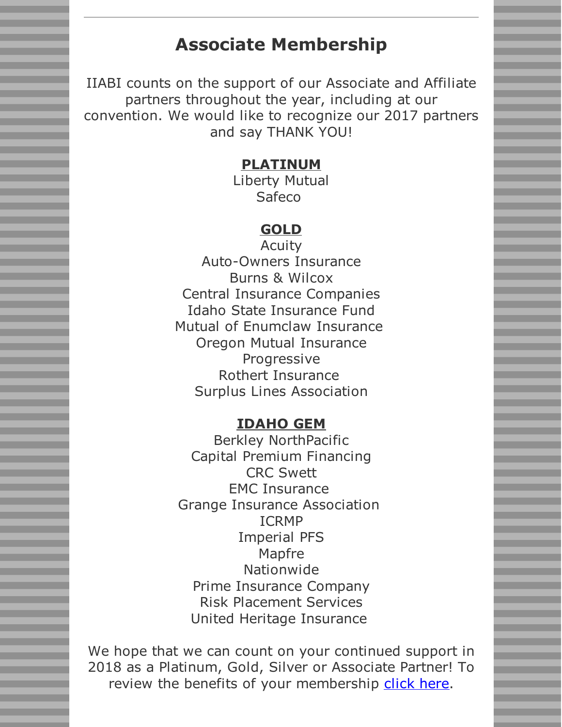# **Associate Membership**

IIABI counts on the support of our Associate and Affiliate partners throughout the year, including at our convention. We would like to recognize our 2017 partners and say THANK YOU!

#### **PLATINUM**

Liberty Mutual Safeco

### **GOLD**

Acuity Auto-Owners Insurance Burns & Wilcox Central Insurance Companies Idaho State Insurance Fund Mutual of Enumclaw Insurance Oregon Mutual Insurance Progressive Rothert Insurance Surplus Lines Association

#### **IDAHO GEM**

Berkley NorthPacific Capital Premium Financing CRC Swett EMC Insurance Grange Insurance Association ICRMP Imperial PFS Mapfre Nationwide Prime Insurance Company Risk Placement Services United Heritage Insurance

We hope that we can count on your continued support in 2018 as a Platinum, Gold, Silver or Associate Partner! To review the benefits of your membership [click](http://files.constantcontact.com/e55b1ff0201/5535c99b-3c40-48a6-a08f-fcac6d878617.pdf) here.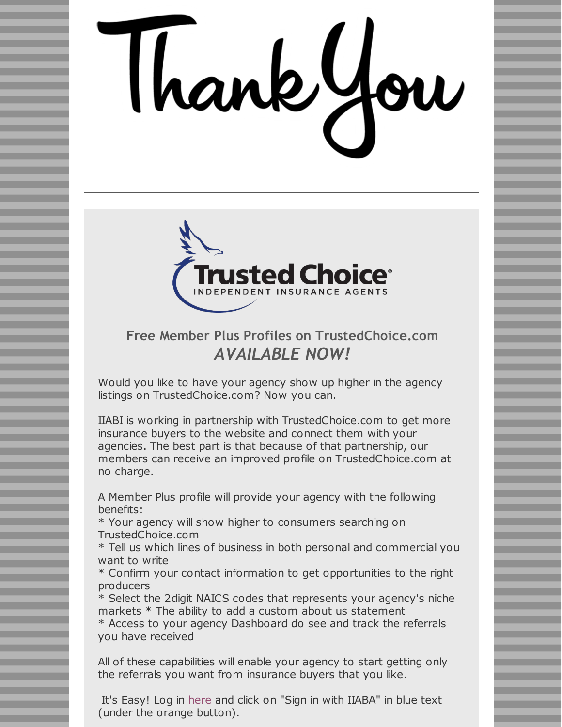# Thankyo



## **Free Member Plus Profiles on TrustedChoice.com** *AVAILABLE NOW!*

Would you like to have your agency show up higher in the agency listings on TrustedChoice.com? Now you can.

IIABI is working in partnership with TrustedChoice.com to get more insurance buyers to the website and connect them with your agencies. The best part is that because of that partnership, our members can receive an improved profile on TrustedChoice.com at no charge.

A Member Plus profile will provide your agency with the following benefits:

\* Your agency will show higher to consumers searching on TrustedChoice.com

\* Tell us which lines of business in both personal and commercial you want to write

\* Confirm your contact information to get opportunities to the right producers

\* Select the 2digit NAICS codes that represents your agency's niche markets \* The ability to add a custom about us statement

\* Access to your agency Dashboard do see and track the referrals you have received

All of these capabilities will enable your agency to start getting only the referrals you want from insurance buyers that you like.

It's Easy! Log in [here](https://iw.trustedchoice.com/login/#/) and click on "Sign in with IIABA" in blue text (under the orange button).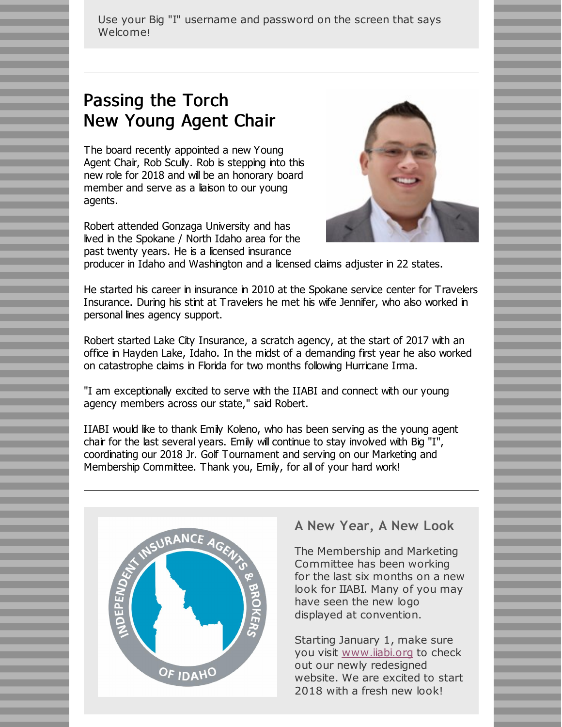Use your Big "I" username and password on the screen that says Welcome!

# Passing the Torch New Young Agent Chair

The board recently appointed a new Young Agent Chair, Rob Scully. Rob is stepping into this new role for 2018 and will be an honorary board member and serve as a liaison to our young agents.

Robert attended Gonzaga University and has lived in the Spokane / North Idaho area for the past twenty years. He is a licensed insurance



producer in Idaho and Washington and a licensed claims adjuster in 22 states.

He started his career in insurance in 2010 at the Spokane service center for Travelers Insurance. During his stint at Travelers he met his wife Jennifer, who also worked in personal lines agency support.

Robert started Lake City Insurance, a scratch agency, at the start of 2017 with an office in Hayden Lake, Idaho. In the midst of a demanding first year he also worked on catastrophe claims in Florida for two months following Hurricane Irma.

"I am exceptionally excited to serve with the IIABI and connect with our young agency members across our state," said Robert.

IIABI would like to thank Emily Koleno, who has been serving as the young agent chair for the last several years. Emily will continue to stay involved with Big "I", coordinating our 2018 Jr. Golf Tournament and serving on our Marketing and Membership Committee. Thank you, Emily, for all of your hard work!



#### **A New Year, A New Look**

The Membership and Marketing Committee has been working for the last six months on a new look for IIABI. Many of you may have seen the new logo displayed at convention.

Starting January 1, make sure you visit [www.iiabi.org](http://www.iiabi.org) to check out our newly redesigned website. We are excited to start 2018 with a fresh new look!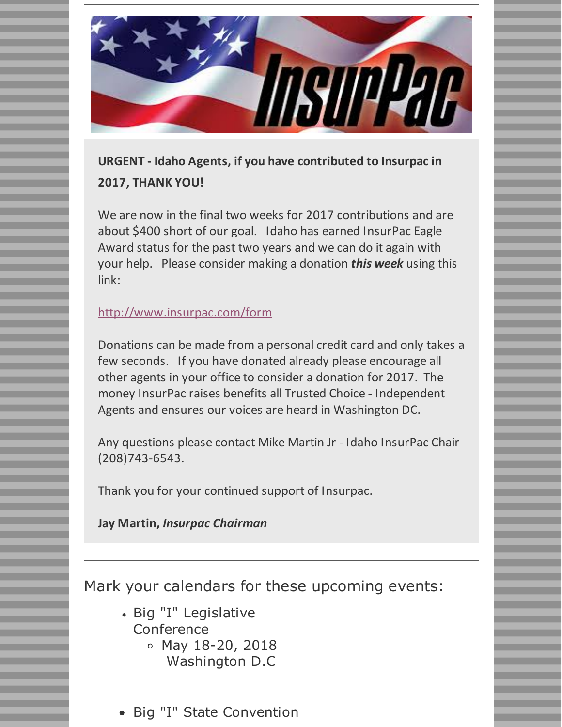

**URGENT - Idaho Agents, if you have contributed to Insurpac in 2017, THANK YOU!**

We are now in the final two weeks for 2017 contributions and are about \$400 short of our goal. Idaho has earned InsurPac Eagle Award status for the past two years and we can do it again with your help. Please consider making a donation *this week* using this link:

### <http://www.insurpac.com/form>

Donations can be made from a personal credit card and only takes a few seconds. If you have donated already please encourage all other agents in your office to consider a donation for 2017. The money InsurPac raises benefits all Trusted Choice - Independent Agents and ensures our voices are heard in Washington DC.

Any questions please contact Mike Martin Jr - Idaho InsurPac Chair (208)743-6543.

Thank you for your continued support of Insurpac.

**Jay Martin,** *Insurpac Chairman*

Mark your calendars for these upcoming events:

- Big "I" Legislative Conference  $\circ$  May 18-20, 2018
	- Washington D.C
- Big "I" State Convention